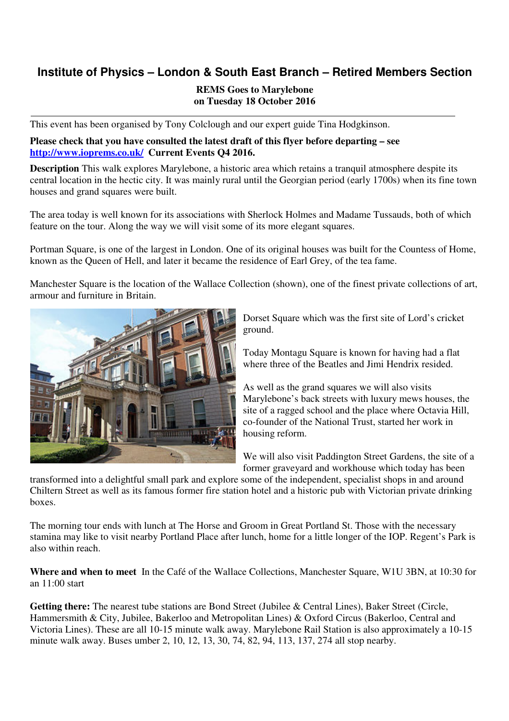# **Institute of Physics – London & South East Branch – Retired Members Section**

## **REMS Goes to Marylebone on Tuesday 18 October 2016**

This event has been organised by Tony Colclough and our expert guide Tina Hodgkinson.

### **Please check that you have consulted the latest draft of this flyer before departing – see http://www.ioprems.co.uk/ Current Events Q4 2016.**

**Description** This walk explores Marylebone, a historic area which retains a tranquil atmosphere despite its central location in the hectic city. It was mainly rural until the Georgian period (early 1700s) when its fine town houses and grand squares were built.

The area today is well known for its associations with Sherlock Holmes and Madame Tussauds, both of which feature on the tour. Along the way we will visit some of its more elegant squares.

Portman Square, is one of the largest in London. One of its original houses was built for the Countess of Home, known as the Queen of Hell, and later it became the residence of Earl Grey, of the tea fame.

Manchester Square is the location of the Wallace Collection (shown), one of the finest private collections of art, armour and furniture in Britain.



Dorset Square which was the first site of Lord's cricket ground.

Today Montagu Square is known for having had a flat where three of the Beatles and Jimi Hendrix resided.

As well as the grand squares we will also visits Marylebone's back streets with luxury mews houses, the site of a ragged school and the place where Octavia Hill, co-founder of the National Trust, started her work in housing reform.

We will also visit Paddington Street Gardens, the site of a former graveyard and workhouse which today has been

transformed into a delightful small park and explore some of the independent, specialist shops in and around Chiltern Street as well as its famous former fire station hotel and a historic pub with Victorian private drinking boxes.

The morning tour ends with lunch at The Horse and Groom in Great Portland St. Those with the necessary stamina may like to visit nearby Portland Place after lunch, home for a little longer of the IOP. Regent's Park is also within reach.

**Where and when to meet** In the Café of the Wallace Collections, Manchester Square, W1U 3BN, at 10:30 for an 11:00 start

Getting there: The nearest tube stations are Bond Street (Jubilee & Central Lines), Baker Street (Circle, Hammersmith & City, Jubilee, Bakerloo and Metropolitan Lines) & Oxford Circus (Bakerloo, Central and Victoria Lines). These are all 10-15 minute walk away. Marylebone Rail Station is also approximately a 10-15 minute walk away. Buses umber 2, 10, 12, 13, 30, 74, 82, 94, 113, 137, 274 all stop nearby.